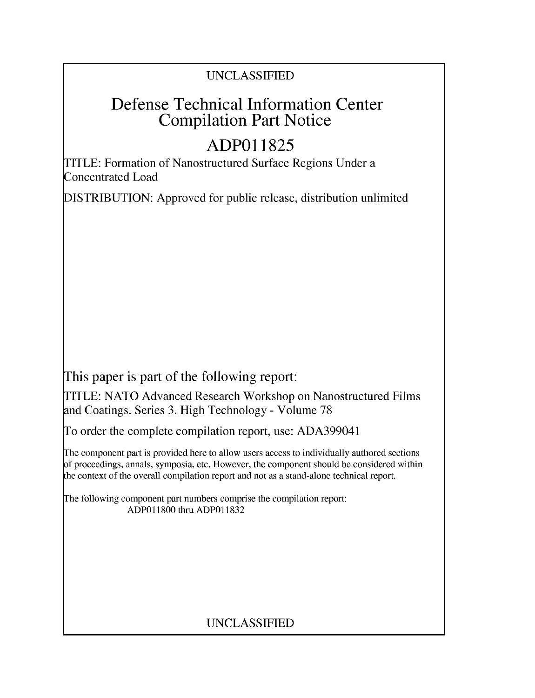### UNCLASSIFIED

## Defense Technical Information Center Compilation Part Notice

# **ADPO 11825**

TITLE: Formation of Nanostructured Surface Regions Under a Concentrated Load

DISTRIBUTION: Approved for public release, distribution unlimited

This paper is part of the following report:

TITLE: NATO Advanced Research Workshop on Nanostructured Films and Coatings. Series 3. High Technology - Volume 78

To order the complete compilation report, use: ADA399041

The component part is provided here to allow users access to individually authored sections f proceedings, annals, symposia, etc. However, the component should be considered within [he context of the overall compilation report and not as a stand-alone technical report.

The following component part numbers comprise the compilation report: ADPO11800 thru ADP011832

## UNCLASSIFIED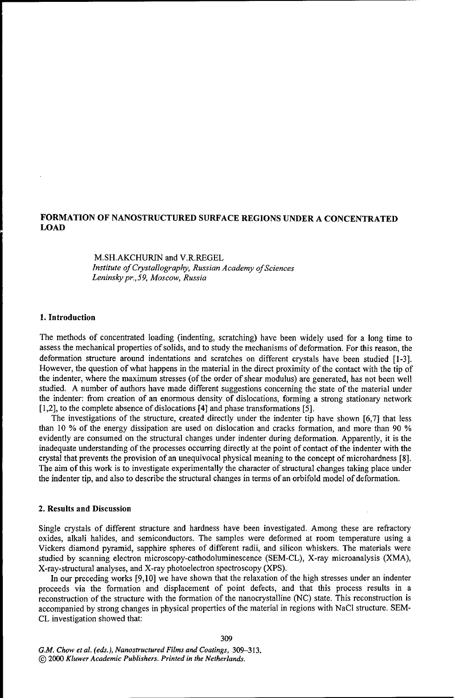### FORMATION OF **NANOSTRUCTURED SURFACE REGIONS UNDER A CONCENTRATED LOAD**

M.SH.AKCHURIN and V.R.REGEL *Institute of Crystallography, Russian Academy of Sciences Leninskypr.,59, Moscow, Russia*

#### **1.** Introduction

The methods of concentrated loading (indenting, scratching) have been widely used for a long time to assess the mechanical properties of solids, and to study the mechanisms of deformation. For this reason, the deformation structure around indentations and scratches on different crystals have been studied [1-3]. However, the question of what happens in the material in the direct proximity of the contact with the tip of the indenter, where the maximum stresses (of the order of shear modulus) are generated, has not been well studied. A number of authors have made different suggestions concerning the state of the material under the indenter: from creation of an enormous density of dislocations, forming a strong stationary network [1,2], to the complete absence of dislocations [4] and phase transformations [5].

The investigations of the structure, created directly under the indenter tip have shown [6,7] that less than 10 % of the energy dissipation are used on dislocation and cracks formation, and more than 90 % evidently are consumed on the structural changes under indenter during deformation. Apparently, it is the inadequate understanding of the processes occurring directly at the point of contact of the indenter with the crystal that prevents the provision of an unequivocal physical meaning to the concept of microhardness [8]. The aim of this work is to investigate experimentally the character of structural changes taking place under the indenter tip, and also to describe the structural changes in terms of an orbifold model of deformation.

#### 2. Results and Discussion

Single crystals of different structure and hardness have been investigated. Among these are refractory oxides, alkali halides, and semiconductors. The samples were deformed at room temperature using a Vickers diamond pyramid, sapphire spheres of different radii, and silicon whiskers. The materials were studied by scanning electron microscopy-cathodoluminescence (SEM-CL), X-ray microanalysis (XMA), X-ray-structural analyses, and X-ray photoelectron spectroscopy (XPS).

In our preceding works [9,10] we have shown that the relaxation of the high stresses under an indenter proceeds via the formation and displacement of point defects, and that this process results in a reconstruction of the structure with the formation of the nanocrystalline (NC) state. This reconstruction is accompanied by strong changes in physical properties of the material in regions with NaCI structure. SEM-CL investigation showed that: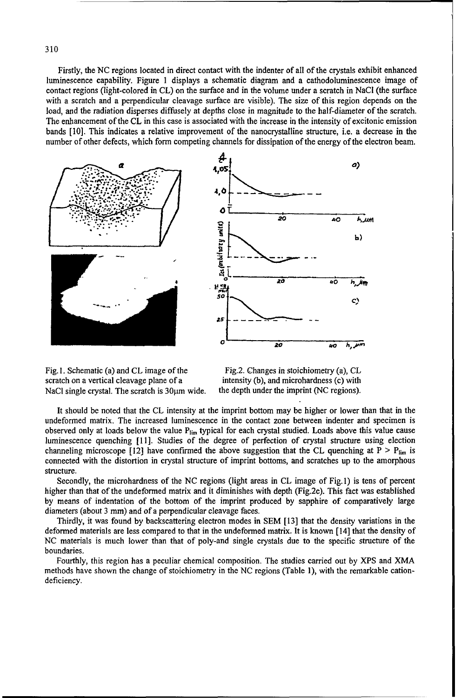Firstly, the NC regions located in direct contact with the indenter of all of the crystals exhibit enhanced luminescence capability. Figure 1 displays a schematic diagram and a cathodoluminescence image of contact regions (light-colored in CL) on the surface and in the volume under a scratch in NaCI (the surface with a scratch and a perpendicular cleavage surface are visible). The size of this region depends on the load, and the radiation disperses diffusely at depths close in magnitude to the half-diameter of the scratch. The enhancement of the CL in this case is associated with the increase in the intensity of excitonic emission bands [10]. This indicates a relative improvement of the nanocrystalline structure, i.e. a decrease in the number of other defects, which form competing channels for dissipation of the energy of the electron beam.



scratch on a vertical cleavage plane of a intensity (b), and microhardness (c) with NaCl single crystal. The scratch is  $30\mu$ m wide. the depth under the imprint (NC regions).

Fig. 1. Schematic (a) and CL image of the Fig. 2. Changes in stoichiometry (a), CL

It should be noted that the CL intensity at the imprint bottom may be higher or lower than that in the undeformed matrix. The increased luminescence in the contact zone between indenter and specimen is observed only at loads below the value  $P_{\text{lim}}$  typical for each crystal studied. Loads above this value cause luminescence quenching [11]. Studies of the degree of perfection of crystal structure using election channeling microscope [12] have confirmed the above suggestion that the CL quenching at  $P > P_{lim}$  is connected with the distortion in crystal structure of imprint bottoms, and scratches up to the amorphous structure.

Secondly, the microhardness of the NC regions (light areas in CL image of Fig.1) is tens of percent higher than that of the undeformed matrix and it diminishes with depth (Fig.2c). This fact was established by means of indentation of the bottom of the imprint produced by sapphire of comparatively large diameters (about 3 mm) and of a perpendicular cleavage faces.

Thirdly, it was found by backscattering electron modes in SEM [13] that the density variations in the deformed materials are less compared to that in the undeformed matrix. It is known [14] that the density of NC materials is much lower than that of poly-and single crystals due to the specific structure of the boundaries.

Fourthly, this region has a peculiar chemical composition. The studies carried out by XPS and XMA methods have shown the change of stoichiometry in the NC regions (Table **1),** with the remarkable cationdeficiency.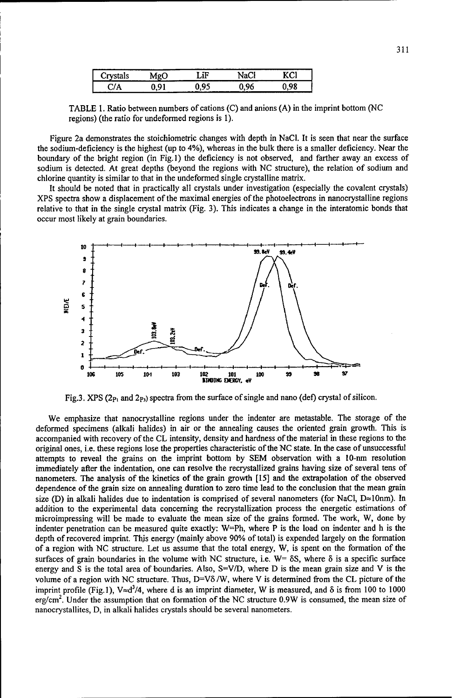| - |    | .iF   | --------- | ----------- |
|---|----|-------|-----------|-------------|
|   | ດາ | ----- |           | ٥o          |

TABLE 1. Ratio between numbers of cations (C) and anions (A) in the imprint bottom (NC regions) (the ratio for undeformed regions is 1).

Figure 2a demonstrates the stoichiometric changes with depth in NaCi. It is seen that near the surface the sodium-deficiency is the highest (up to 4%), whereas in the bulk there is a smaller deficiency. Near the boundary of the bright region (in Fig.I) the deficiency is not observed, and farther away an excess of sodium is detected. At great depths (beyond the regions with NC structure), the relation of sodium and chlorine quantity is similar to that in the undeformed single crystalline matrix.

It should be noted that in practically all crystals under investigation (especially the covalent crystals) XPS spectra show a displacement of the maximal energies of the photoelectrons in nanocrystalline regions relative to that in the single crystal matrix (Fig. 3). This indicates a change in the interatomic bonds that occur most likely at grain boundaries.



Fig.3. XPS **( 2p,** and **2p,)** spectra from the surface of single and nano (def) crystal of silicon.

We emphasize that nanocrystalline regions under the indenter are metastable. The storage of the deformed specimens (alkali halides) in air or the annealing causes the oriented grain growth. This is accompanied with recovery of the CL intensity, density and hardness of the material in these regions to the original ones, i.e. these regions lose the properties characteristic of the NC state. In the case of unsuccessful attempts to reveal the grains on the imprint bottom by SEM observation with a 10-nm resolution immediately after the indentation, one can resolve the recrystallized grains having size of several tens of nanometers. The analysis of the kinetics of the grain growth [15] and the extrapolation of the observed dependence of the grain size on annealing duration to zero time lead to the conclusion that the mean grain size (D) in alkali halides due to indentation is comprised of several nanometers (for NaCl,  $D \approx 10$ nm). In addition to the experimental data concerning the recrystallization process the energetic estimations of microimpressing will be made to evaluate the mean size of the grains formed. The work, W, done by indenter penetration can be measured quite exactly: W=Ph, where P is the load on indenter and h is the depth of recovered imprint. This energy (mainly above 90% of total) is expended largely on the formation of a region with NC structure. Let us assume that the total energy, W, is spent on the formation of the surfaces of grain boundaries in the volume with NC structure, i.e.  $W = \delta S$ , where  $\delta$  is a specific surface energy and  $\overline{S}$  is the total area of boundaries. Also, S=V/D, where D is the mean grain size and V is the volume of a region with NC structure. Thus, **D=V8** /W, where V is determined from the CL picture of the imprint profile (Fig. 1),  $V \approx d^3/4$ , where d is an imprint diameter, W is measured, and  $\delta$  is from 100 to 1000 erg/cm<sup>2</sup>. Under the assumption that on formation of the NC structure 0.9W is consumed, the mean size of nanocrystallites, D, in alkali halides crystals should be several nanometers.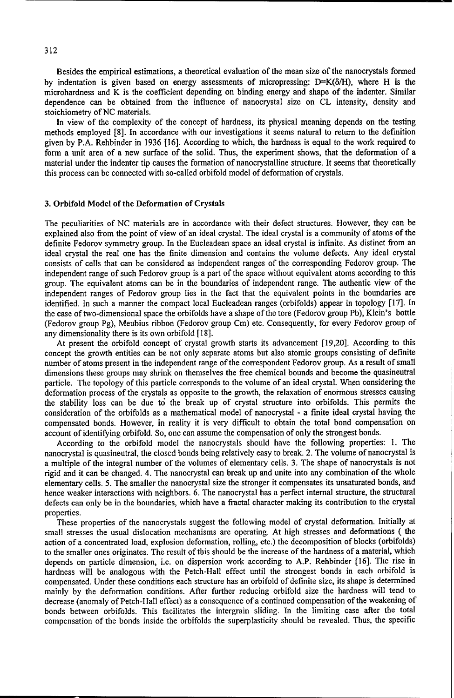Besides the empirical estimations, a theoretical evaluation of the mean size of the nanocrystals formed by indentation is given based on energy assessments of micropressing: D=K(8/H), where H is the microhardness and K is the coefficient depending on binding energy and shape of the indenter. Similar dependence can be obtained from the influence of nanocrystal size on CL intensity, density and stoichiometry of NC materials.

In view of the complexity of the concept of hardness, its physical meaning depends on the testing methods employed [8]. In accordance with our investigations it seems natural to return to the definition given by P.A. Rehbinder in 1936 [16]. According to which, the hardness is equal to the work required to form a unit area of a new surface of the solid. Thus, the experiment shows, that the deformation of a material under the indenter tip causes the formation of nanocrystalline structure. It seems that theoretically this process can be connected with so-called orbifold model of deformation of crystals.

#### 3. Orbifold Model of the Deformation of Crystals

The peculiarities of NC materials are in accordance with their defect structures. However, they can be explained also from the point of view of an ideal crystal. The ideal crystal is a community of atoms of the definite Fedorov symmetry group. In the Eucleadean space an ideal crystal is infinite. As distinct from an ideal crystal the real one has the finite dimension and contains the volume defects. Any ideal crystal consists of cells that can be considered as independent ranges of the corresponding Fedorov group. The independent range of such Fedorov group is a part of the space without equivalent atoms according to this group. The equivalent atoms can be in the boundaries of independent range. The authentic view of the independent ranges of Fedorov group lies in the fact that the equivalent points in the boundaries are identified. In such a manner the compact local Eucleadean ranges (orbifolds) appear in topology [17]. In the case of two-dimensional space the orbifolds have a shape of the tore (Fedorov group Pb), Klein's bottle (Fedorov group Pg), Meubius ribbon (Fedorov group Cm) etc. Consequently, for every Fedorov group of any dimensionality there is its own orbifold [18].

At present the orbifold concept of crystal growth starts its advancement [19,20]. According to this concept the growth entities can be not only separate atoms but also atomic groups consisting of definite number of atoms present in the independent range of the correspondent Fedorov group. As a result of small dimensions these groups may shrink on themselves the free chemical bounds and become the quasineutral particle. The topology of this particle corresponds to the volume of an ideal crystal. When considering the deformation process of the crystals as opposite to the growth, the relaxation of enormous stresses causing the stability loss can be due to the break up of crystal structure into orbifolds. This permits the consideration of the orbifolds as a mathematical model of nanocrystal - a finite ideal crystal having the compensated bonds. However, in reality it is very difficult to obtain the total bond compensation on account of identifying orbifold. So, one can assume the compensation of only the strongest bonds.

According to the orbifold model the nanocrystals should have the following properties: 1. The nanocrystal is quasineutral, the closed bonds being relatively easy to break. 2. The volume of nanocrystal is a multiple of the integral number of the volumes of elementary cells. 3. The shape of nanocrystals is not rigid and it can be changed. 4. The nanocrystal can break up and unite into any combination of the whole elementary cells. 5. The smaller the nanocrystal size the stronger it compensates its unsaturated bonds, and hence weaker interactions with neighbors. 6. The nanocrystal has a perfect internal structure, the structural defects can only be in the boundaries, which have a fractal character making its contribution to the crystal properties.

These properties of the nanocrystals suggest the following model of crystal deformation. Initially at small stresses the usual dislocation mechanisms are operating. At high stresses and deformations ( the action of a concentrated load, explosion deformation, rolling, etc.) the decomposition of blocks (orbifolds) to the smaller ones originates. The result of this should be the increase of the hardness of a material, which depends on particle dimension, i.e. on dispersion work according to A.P. Rehbinder [16]. The rise in hardness will be analogous with the Petch-Hall effect until the strongest bonds in each orbifold is compensated. Under these conditions each structure has an orbifold of definite size, its shape is determined mainly by the deformation conditions. After further reducing orbifold size the hardness will tend to decrease (anomaly of Petch-Hall effect) as a consequence of a continued compensation of the weakening of bonds between orbifolds. This facilitates the intergrain sliding. In the limiting case after the total compensation of the bonds inside the orbifolds the superplasticity should be revealed. Thus, the specific